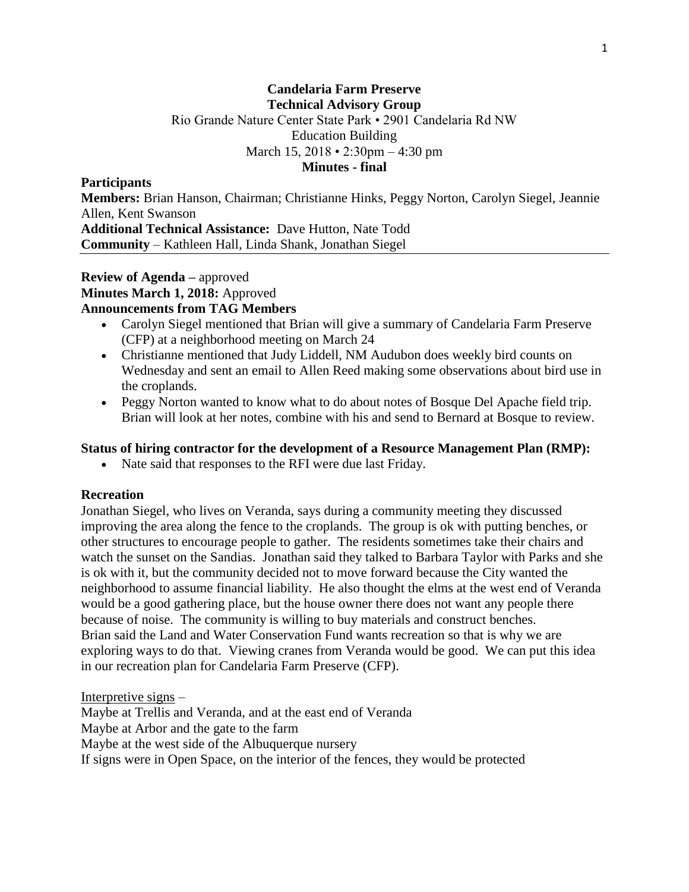## **Candelaria Farm Preserve Technical Advisory Group** Rio Grande Nature Center State Park • 2901 Candelaria Rd NW Education Building March 15, 2018 • 2:30pm – 4:30 pm **Minutes - final**

#### **Participants**

**Members:** Brian Hanson, Chairman; Christianne Hinks, Peggy Norton, Carolyn Siegel, Jeannie Allen, Kent Swanson **Additional Technical Assistance:** Dave Hutton, Nate Todd **Community** – Kathleen Hall, Linda Shank, Jonathan Siegel

### **Review of Agenda –** approved **Minutes March 1, 2018:** Approved **Announcements from TAG Members**

- Carolyn Siegel mentioned that Brian will give a summary of Candelaria Farm Preserve (CFP) at a neighborhood meeting on March 24
- Christianne mentioned that Judy Liddell, NM Audubon does weekly bird counts on Wednesday and sent an email to Allen Reed making some observations about bird use in the croplands.
- Peggy Norton wanted to know what to do about notes of Bosque Del Apache field trip. Brian will look at her notes, combine with his and send to Bernard at Bosque to review.

### **Status of hiring contractor for the development of a Resource Management Plan (RMP):**

• Nate said that responses to the RFI were due last Friday.

### **Recreation**

Jonathan Siegel, who lives on Veranda, says during a community meeting they discussed improving the area along the fence to the croplands. The group is ok with putting benches, or other structures to encourage people to gather. The residents sometimes take their chairs and watch the sunset on the Sandias. Jonathan said they talked to Barbara Taylor with Parks and she is ok with it, but the community decided not to move forward because the City wanted the neighborhood to assume financial liability. He also thought the elms at the west end of Veranda would be a good gathering place, but the house owner there does not want any people there because of noise. The community is willing to buy materials and construct benches. Brian said the Land and Water Conservation Fund wants recreation so that is why we are exploring ways to do that. Viewing cranes from Veranda would be good. We can put this idea in our recreation plan for Candelaria Farm Preserve (CFP).

Interpretive signs –

Maybe at Trellis and Veranda, and at the east end of Veranda Maybe at Arbor and the gate to the farm Maybe at the west side of the Albuquerque nursery If signs were in Open Space, on the interior of the fences, they would be protected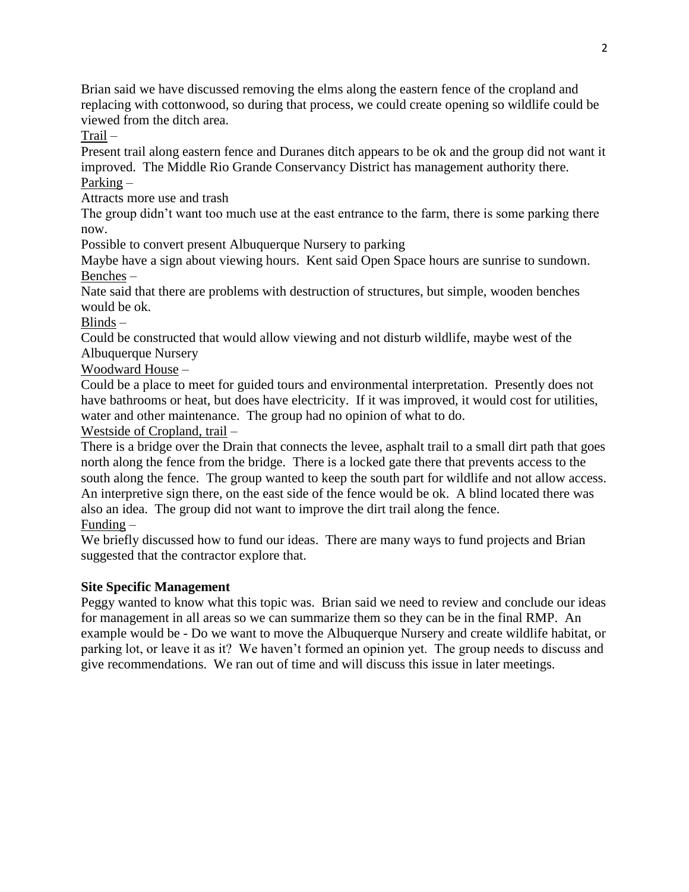Brian said we have discussed removing the elms along the eastern fence of the cropland and replacing with cottonwood, so during that process, we could create opening so wildlife could be viewed from the ditch area.

Trail –

Present trail along eastern fence and Duranes ditch appears to be ok and the group did not want it improved. The Middle Rio Grande Conservancy District has management authority there. Parking –

Attracts more use and trash

The group didn't want too much use at the east entrance to the farm, there is some parking there now.

Possible to convert present Albuquerque Nursery to parking

Maybe have a sign about viewing hours. Kent said Open Space hours are sunrise to sundown. Benches –

Nate said that there are problems with destruction of structures, but simple, wooden benches would be ok.

Blinds –

Could be constructed that would allow viewing and not disturb wildlife, maybe west of the Albuquerque Nursery

Woodward House –

Could be a place to meet for guided tours and environmental interpretation. Presently does not have bathrooms or heat, but does have electricity. If it was improved, it would cost for utilities, water and other maintenance. The group had no opinion of what to do.

Westside of Cropland, trail –

There is a bridge over the Drain that connects the levee, asphalt trail to a small dirt path that goes north along the fence from the bridge. There is a locked gate there that prevents access to the south along the fence. The group wanted to keep the south part for wildlife and not allow access. An interpretive sign there, on the east side of the fence would be ok. A blind located there was also an idea. The group did not want to improve the dirt trail along the fence.

Funding –

We briefly discussed how to fund our ideas. There are many ways to fund projects and Brian suggested that the contractor explore that.

# **Site Specific Management**

Peggy wanted to know what this topic was. Brian said we need to review and conclude our ideas for management in all areas so we can summarize them so they can be in the final RMP. An example would be - Do we want to move the Albuquerque Nursery and create wildlife habitat, or parking lot, or leave it as it? We haven't formed an opinion yet. The group needs to discuss and give recommendations. We ran out of time and will discuss this issue in later meetings.